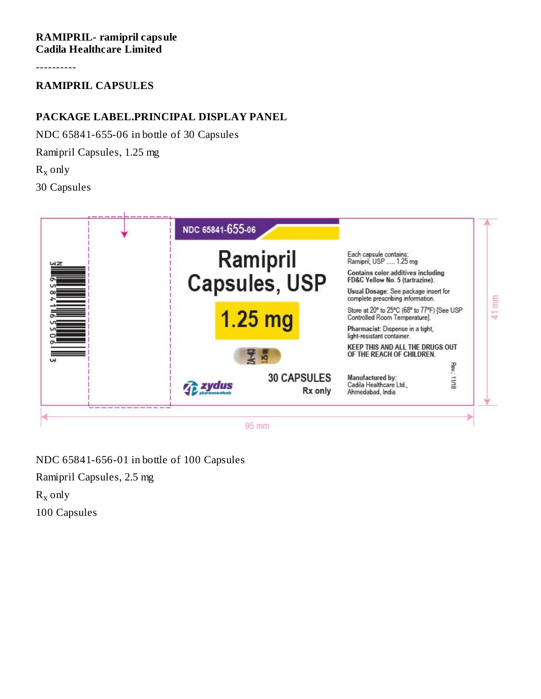**RAMIPRIL- ramipril capsule Cadila Healthcare Limited**

----------

**RAMIPRIL CAPSULES**

## **PACKAGE LABEL.PRINCIPAL DISPLAY PANEL**

NDC 65841-655-06 in bottle of 30 Capsules Ramipril Capsules, 1.25 mg  $R_x$  only 30 Capsules



NDC 65841-656-01 in bottle of 100 Capsules Ramipril Capsules, 2.5 mg  $R_x$  only 100 Capsules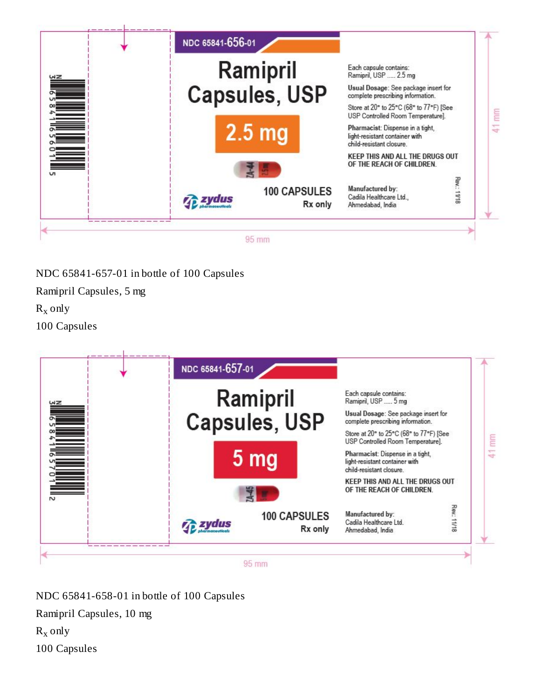

NDC 65841-657-01 in bottle of 100 Capsules

Ramipril Capsules, 5 mg  $R_x$  only 100 Capsules



NDC 65841-658-01 in bottle of 100 Capsules Ramipril Capsules, 10 mg  $R_x$  only 100 Capsules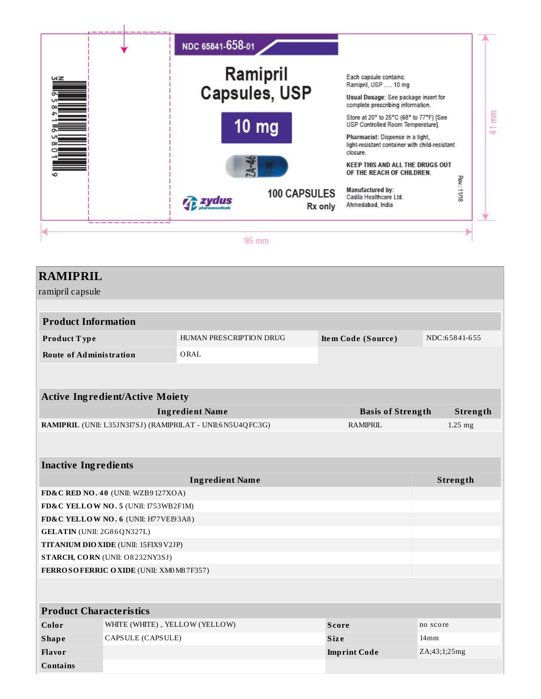

| <b>RAMIPRIL</b>                       |                                                                |                                                            |              |                          |                  |           |
|---------------------------------------|----------------------------------------------------------------|------------------------------------------------------------|--------------|--------------------------|------------------|-----------|
| ramipril capsule                      |                                                                |                                                            |              |                          |                  |           |
|                                       |                                                                |                                                            |              |                          |                  |           |
| <b>Product Information</b>            |                                                                |                                                            |              |                          |                  |           |
| Product Type                          | HUMAN PRESCRIPTION DRUG<br>NDC:65841-655<br>Item Code (Source) |                                                            |              |                          |                  |           |
| <b>Route of Administration</b>        |                                                                | ORAL                                                       |              |                          |                  |           |
|                                       |                                                                |                                                            |              |                          |                  |           |
|                                       |                                                                |                                                            |              |                          |                  |           |
|                                       | <b>Active Ingredient/Active Moiety</b>                         |                                                            |              |                          |                  |           |
|                                       |                                                                | <b>Ingredient Name</b>                                     |              | <b>Basis of Strength</b> |                  | Strength  |
|                                       |                                                                | RAMIPRIL (UNII: L35JN3I7SJ) (RAMIPRILAT - UNII:6N5U4QFC3G) |              | <b>RAMIPRIL</b>          |                  | $1.25$ mg |
|                                       |                                                                |                                                            |              |                          |                  |           |
|                                       |                                                                |                                                            |              |                          |                  |           |
| <b>Inactive Ingredients</b>           |                                                                |                                                            |              |                          |                  |           |
|                                       |                                                                | <b>Ingredient Name</b>                                     |              |                          |                  | Strength  |
|                                       | FD&C RED NO. 40 (UNII: WZB9127XOA)                             |                                                            |              |                          |                  |           |
| FD&C YELLOW NO. 5 (UNII: I753WB2F1M)  |                                                                |                                                            |              |                          |                  |           |
|                                       | FD&C YELLOW NO. 6 (UNII: H77VEI93A8)                           |                                                            |              |                          |                  |           |
| GELATIN (UNII: 2G86QN327L)            |                                                                |                                                            |              |                          |                  |           |
| TITANIUM DIO XIDE (UNII: 15FIX9 V2JP) |                                                                |                                                            |              |                          |                  |           |
|                                       | STARCH, CORN (UNII: O8232NY3SJ)                                |                                                            |              |                          |                  |           |
|                                       | FERROSOFERRIC OXIDE (UNII: XM0 M8 7F357)                       |                                                            |              |                          |                  |           |
|                                       |                                                                |                                                            |              |                          |                  |           |
| <b>Product Characteristics</b>        |                                                                |                                                            |              |                          |                  |           |
| Color                                 | WHITE (WHITE), YELLOW (YELLOW)                                 |                                                            | <b>Score</b> |                          | no score         |           |
| <b>Shape</b>                          | CAPSULE (CAPSULE)                                              |                                                            | <b>Size</b>  |                          | 14 <sub>mm</sub> |           |
| <b>Flavor</b>                         |                                                                |                                                            |              | <b>Imprint Code</b>      | ZA;43;1;25mg     |           |

**Contains**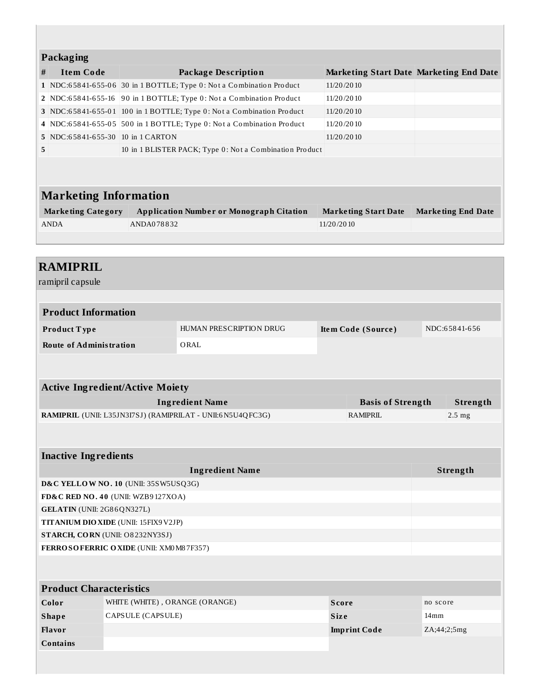|                                                               | <b>Packaging</b>                                           |            |                                                                       |                 |                                                |          |                           |
|---------------------------------------------------------------|------------------------------------------------------------|------------|-----------------------------------------------------------------------|-----------------|------------------------------------------------|----------|---------------------------|
| #                                                             | <b>Item Code</b>                                           |            | <b>Package Description</b>                                            |                 | <b>Marketing Start Date Marketing End Date</b> |          |                           |
|                                                               |                                                            |            | 1 NDC:65841-655-06 30 in 1 BOTTLE; Type 0: Not a Combination Product  | 11/20/2010      |                                                |          |                           |
|                                                               |                                                            |            | 2 NDC:65841-655-16 90 in 1 BOTTLE; Type 0: Not a Combination Product  | 11/20/2010      |                                                |          |                           |
|                                                               |                                                            |            | 3 NDC:65841-655-01 100 in 1 BOTTLE; Type 0: Not a Combination Product | 11/20/2010      |                                                |          |                           |
|                                                               |                                                            |            | 4 NDC:65841-655-05 500 in 1 BOTTLE; Type 0: Not a Combination Product | 11/20/2010      |                                                |          |                           |
|                                                               | 5 NDC:65841-655-30 10 in 1 CARTON                          |            |                                                                       | 11/20/2010      |                                                |          |                           |
| 5                                                             |                                                            |            | 10 in 1 BLISTER PACK; Type 0: Not a Combination Product               |                 |                                                |          |                           |
|                                                               | <b>Marketing Information</b>                               |            |                                                                       |                 |                                                |          |                           |
|                                                               | <b>Marketing Category</b>                                  |            | <b>Application Number or Monograph Citation</b>                       |                 | <b>Marketing Start Date</b>                    |          | <b>Marketing End Date</b> |
|                                                               | <b>ANDA</b>                                                | ANDA078832 |                                                                       | 11/20/2010      |                                                |          |                           |
|                                                               |                                                            |            |                                                                       |                 |                                                |          |                           |
|                                                               |                                                            |            |                                                                       |                 |                                                |          |                           |
|                                                               | <b>RAMIPRIL</b>                                            |            |                                                                       |                 |                                                |          |                           |
|                                                               | ramipril capsule                                           |            |                                                                       |                 |                                                |          |                           |
|                                                               |                                                            |            |                                                                       |                 |                                                |          |                           |
| <b>Product Information</b>                                    |                                                            |            |                                                                       |                 |                                                |          |                           |
| HUMAN PRESCRIPTION DRUG<br>Item Code (Source)<br>Product Type |                                                            |            |                                                                       | NDC:65841-656   |                                                |          |                           |
|                                                               | <b>Route of Administration</b><br>ORAL                     |            |                                                                       |                 |                                                |          |                           |
|                                                               |                                                            |            |                                                                       |                 |                                                |          |                           |
|                                                               |                                                            |            |                                                                       |                 |                                                |          |                           |
|                                                               | <b>Active Ingredient/Active Moiety</b>                     |            |                                                                       |                 |                                                |          |                           |
| <b>Ingredient Name</b>                                        |                                                            |            | <b>Basis of Strength</b>                                              |                 | Strength                                       |          |                           |
|                                                               | RAMIPRIL (UNII: L35JN3I7SJ) (RAMIPRILAT - UNII:6N5U4QFC3G) |            |                                                                       | <b>RAMIPRIL</b> |                                                |          | $2.5 \text{ mg}$          |
|                                                               |                                                            |            |                                                                       |                 |                                                |          |                           |
|                                                               | <b>Inactive Ingredients</b>                                |            |                                                                       |                 |                                                |          |                           |
| <b>Ingredient Name</b>                                        |                                                            |            |                                                                       |                 |                                                | Strength |                           |
| D&C YELLOW NO. 10 (UNII: 35SW5USQ3G)                          |                                                            |            |                                                                       |                 |                                                |          |                           |
| FD&C RED NO. 40 (UNII: WZB9127XOA)                            |                                                            |            |                                                                       |                 |                                                |          |                           |
|                                                               | GELATIN (UNII: 2G86QN327L)                                 |            |                                                                       |                 |                                                |          |                           |
| TITANIUM DIO XIDE (UNII: 15FIX9V2JP)                          |                                                            |            |                                                                       |                 |                                                |          |                           |
| STARCH, CORN (UNII: O8232NY3SJ)                               |                                                            |            |                                                                       |                 |                                                |          |                           |

**FERROSOFERRIC OXIDE** (UNII: XM0M8 7F357)

| <b>Product Characteristics</b> |                                |                     |                  |  |  |
|--------------------------------|--------------------------------|---------------------|------------------|--|--|
| Color                          | WHITE (WHITE), ORANGE (ORANGE) | Score               | no score         |  |  |
| <b>Shape</b>                   | CAPSULE (CAPSULE)              | <b>Size</b>         | 14 <sub>mm</sub> |  |  |
| Flavor                         |                                | <b>Imprint Code</b> | ZA;44;2;5mg      |  |  |
| <b>Contains</b>                |                                |                     |                  |  |  |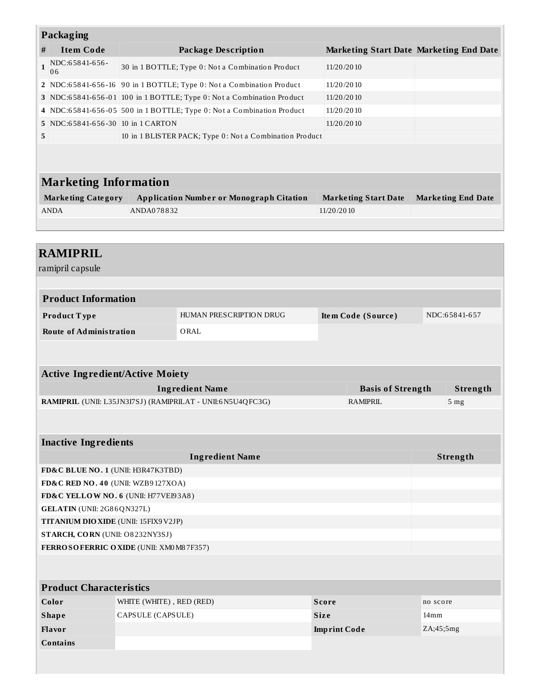| Packaging                                                                |                                                                                     |                                                                      |            |                                                |          |                           |
|--------------------------------------------------------------------------|-------------------------------------------------------------------------------------|----------------------------------------------------------------------|------------|------------------------------------------------|----------|---------------------------|
| <b>Item Code</b><br>#                                                    |                                                                                     | <b>Package Description</b>                                           |            | <b>Marketing Start Date Marketing End Date</b> |          |                           |
| NDC:65841-656-<br>$\mathbf{1}$<br>06                                     |                                                                                     | 30 in 1 BOTTLE; Type 0: Not a Combination Product                    | 11/20/2010 |                                                |          |                           |
|                                                                          |                                                                                     | 2 NDC:65841-656-16 90 in 1 BOTTLE; Type 0: Not a Combination Product | 11/20/2010 |                                                |          |                           |
|                                                                          | 3 NDC:65841-656-01 100 in 1 BOTTLE; Type 0: Not a Combination Product<br>11/20/2010 |                                                                      |            |                                                |          |                           |
| $\overline{4}$                                                           |                                                                                     | NDC:65841-656-05 500 in 1 BOTTLE; Type 0: Not a Combination Product  | 11/20/2010 |                                                |          |                           |
| 5 NDC:65841-656-30 10 in 1 CARTON                                        |                                                                                     |                                                                      | 11/20/2010 |                                                |          |                           |
| 5                                                                        |                                                                                     | 10 in 1 BLISTER PACK; Type 0: Not a Combination Product              |            |                                                |          |                           |
| <b>Marketing Information</b><br><b>Marketing Category</b><br><b>ANDA</b> | ANDA078832                                                                          | <b>Application Number or Monograph Citation</b>                      | 11/20/2010 | <b>Marketing Start Date</b>                    |          | <b>Marketing End Date</b> |
| <b>RAMIPRIL</b><br>ramipril capsule                                      |                                                                                     |                                                                      |            |                                                |          |                           |
| <b>Product Information</b><br>Product Type                               |                                                                                     | HUMAN PRESCRIPTION DRUG                                              |            | Item Code (Source)                             |          | NDC:65841-657             |
| <b>Route of Administration</b>                                           |                                                                                     | ORAL                                                                 |            |                                                |          |                           |
|                                                                          |                                                                                     |                                                                      |            |                                                |          |                           |
| <b>Active Ingredient/Active Moiety</b>                                   |                                                                                     |                                                                      |            |                                                |          |                           |
|                                                                          |                                                                                     | <b>Ingredient Name</b>                                               |            | <b>Basis of Strength</b>                       |          | Strength                  |
|                                                                          |                                                                                     | RAMIPRIL (UNII: L35JN3I7SJ) (RAMIPRILAT - UNII:6N5U4QFC3G)           |            | <b>RAMIPRIL</b>                                |          | 5 mg                      |
| <b>Inactive Ingredients</b>                                              |                                                                                     |                                                                      |            |                                                |          |                           |
|                                                                          |                                                                                     | <b>Ingredient Name</b>                                               |            |                                                |          | Strength                  |
| FD&C BLUE NO. 1 (UNII: H3R47K3TBD)                                       |                                                                                     |                                                                      |            |                                                |          |                           |
| FD&C RED NO. 40 (UNII: WZB9127XOA)                                       |                                                                                     |                                                                      |            |                                                |          |                           |
| FD&C YELLOW NO. 6 (UNII: H77VEI93A8)                                     |                                                                                     |                                                                      |            |                                                |          |                           |
| GELATIN (UNII: 2G86QN327L)                                               |                                                                                     |                                                                      |            |                                                |          |                           |
| TITANIUM DIO XIDE (UNII: 15FIX9 V2JP)                                    |                                                                                     |                                                                      |            |                                                |          |                           |
| STARCH, CORN (UNII: O8232NY3SJ)                                          |                                                                                     |                                                                      |            |                                                |          |                           |
| FERROSOFERRIC OXIDE (UNII: XM0 M8 7F357)                                 |                                                                                     |                                                                      |            |                                                |          |                           |
| <b>Product Characteristics</b>                                           |                                                                                     |                                                                      |            |                                                |          |                           |
| Color                                                                    | WHITE (WHITE), RED (RED)                                                            |                                                                      | Score      |                                                | no score |                           |
| <b>Shape</b>                                                             | CAPSULE (CAPSULE)                                                                   |                                                                      | Size       |                                                | 14mm     |                           |
| Flavor                                                                   | <b>Imprint Code</b>                                                                 |                                                                      |            | ZA;45;5mg                                      |          |                           |
| <b>Contains</b>                                                          |                                                                                     |                                                                      |            |                                                |          |                           |
|                                                                          |                                                                                     |                                                                      |            |                                                |          |                           |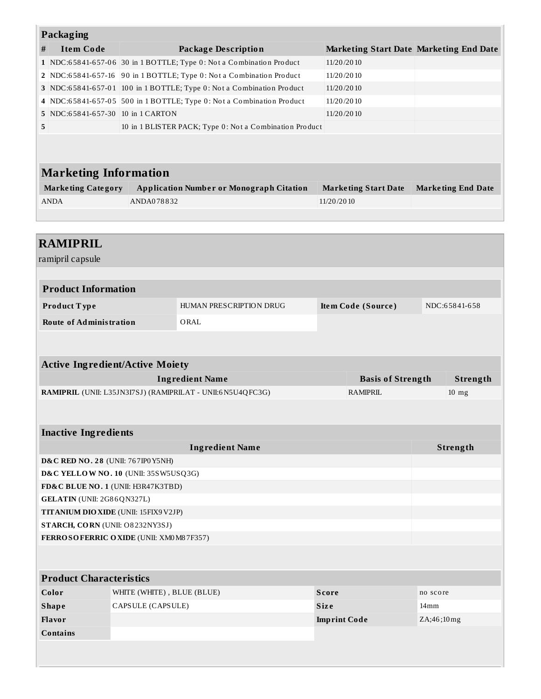| Packaging                                                                                                                           |                                    |                                                                       |                                                |                           |  |  |
|-------------------------------------------------------------------------------------------------------------------------------------|------------------------------------|-----------------------------------------------------------------------|------------------------------------------------|---------------------------|--|--|
| <b>Item Code</b><br>#                                                                                                               |                                    | <b>Package Description</b>                                            | <b>Marketing Start Date Marketing End Date</b> |                           |  |  |
|                                                                                                                                     |                                    | 1 NDC:65841-657-06 30 in 1 BOTTLE; Type 0: Not a Combination Product  | 11/20/2010                                     |                           |  |  |
|                                                                                                                                     |                                    | 2 NDC:65841-657-16 90 in 1 BOTTLE; Type 0: Not a Combination Product  | 11/20/2010                                     |                           |  |  |
|                                                                                                                                     |                                    | 3 NDC:65841-657-01 100 in 1 BOTTLE; Type 0: Not a Combination Product | 11/20/2010                                     |                           |  |  |
|                                                                                                                                     |                                    | 4 NDC:65841-657-05 500 in 1 BOTTLE; Type 0: Not a Combination Product | 11/20/2010                                     |                           |  |  |
| 5 NDC:65841-657-30 10 in 1 CARTON                                                                                                   |                                    |                                                                       | 11/20/2010                                     |                           |  |  |
| 5                                                                                                                                   |                                    | 10 in 1 BLISTER PACK; Type 0: Not a Combination Product               |                                                |                           |  |  |
| <b>Marketing Information</b>                                                                                                        |                                    |                                                                       |                                                |                           |  |  |
| <b>Marketing Category</b>                                                                                                           |                                    | <b>Application Number or Monograph Citation</b>                       | <b>Marketing Start Date</b>                    | <b>Marketing End Date</b> |  |  |
| <b>ANDA</b>                                                                                                                         | ANDA078832                         |                                                                       | 11/20/2010                                     |                           |  |  |
|                                                                                                                                     |                                    |                                                                       |                                                |                           |  |  |
|                                                                                                                                     |                                    |                                                                       |                                                |                           |  |  |
| <b>RAMIPRIL</b><br>ramipril capsule                                                                                                 |                                    |                                                                       |                                                |                           |  |  |
| <b>Product Information</b>                                                                                                          |                                    |                                                                       |                                                |                           |  |  |
| Product Type                                                                                                                        |                                    | HUMAN PRESCRIPTION DRUG                                               | Item Code (Source)                             | NDC:65841-658             |  |  |
| <b>Route of Administration</b>                                                                                                      |                                    | ORAL                                                                  |                                                |                           |  |  |
| <b>Active Ingredient/Active Moiety</b>                                                                                              |                                    |                                                                       |                                                |                           |  |  |
| <b>Ingredient Name</b><br><b>Basis of Strength</b><br>RAMIPRIL (UNII: L35JN3I7SJ) (RAMIPRILAT - UNII:6N5U4QFC3G)<br><b>RAMIPRIL</b> |                                    |                                                                       |                                                | Strength                  |  |  |
|                                                                                                                                     |                                    |                                                                       |                                                | $10$ mg                   |  |  |
| <b>Inactive Ingredients</b>                                                                                                         |                                    |                                                                       |                                                |                           |  |  |
|                                                                                                                                     | <b>Ingredient Name</b><br>Strength |                                                                       |                                                |                           |  |  |
| <b>D&amp;C RED NO. 28 (UNII: 767IP0 Y5NH)</b><br>D&C YELLOW NO. 10 (UNII: 35SW5USQ3G)                                               |                                    |                                                                       |                                                |                           |  |  |
|                                                                                                                                     |                                    |                                                                       |                                                |                           |  |  |
|                                                                                                                                     | FD&C BLUE NO. 1 (UNII: H3R47K3TBD) |                                                                       |                                                |                           |  |  |
| GELATIN (UNII: 2G86QN327L)<br><b>TITANIUM DIO XIDE (UNII: 15FIX9 V2JP)</b>                                                          |                                    |                                                                       |                                                |                           |  |  |
| STARCH, CORN (UNII: O8232NY3SJ)                                                                                                     |                                    |                                                                       |                                                |                           |  |  |
| FERROSOFERRIC OXIDE (UNII: XM0 M8 7F357)                                                                                            |                                    |                                                                       |                                                |                           |  |  |
|                                                                                                                                     |                                    |                                                                       |                                                |                           |  |  |
| <b>Product Characteristics</b>                                                                                                      |                                    |                                                                       |                                                |                           |  |  |
| Color<br>WHITE (WHITE), BLUE (BLUE)                                                                                                 |                                    |                                                                       | <b>Score</b>                                   | no score                  |  |  |
| <b>Shape</b>                                                                                                                        | CAPSULE (CAPSULE)<br><b>Size</b>   |                                                                       |                                                | 14 <sub>mm</sub>          |  |  |
| Flavor                                                                                                                              |                                    |                                                                       | <b>Imprint Code</b>                            | ZA;46;10mg                |  |  |
| <b>Contains</b>                                                                                                                     |                                    |                                                                       |                                                |                           |  |  |
|                                                                                                                                     |                                    |                                                                       |                                                |                           |  |  |